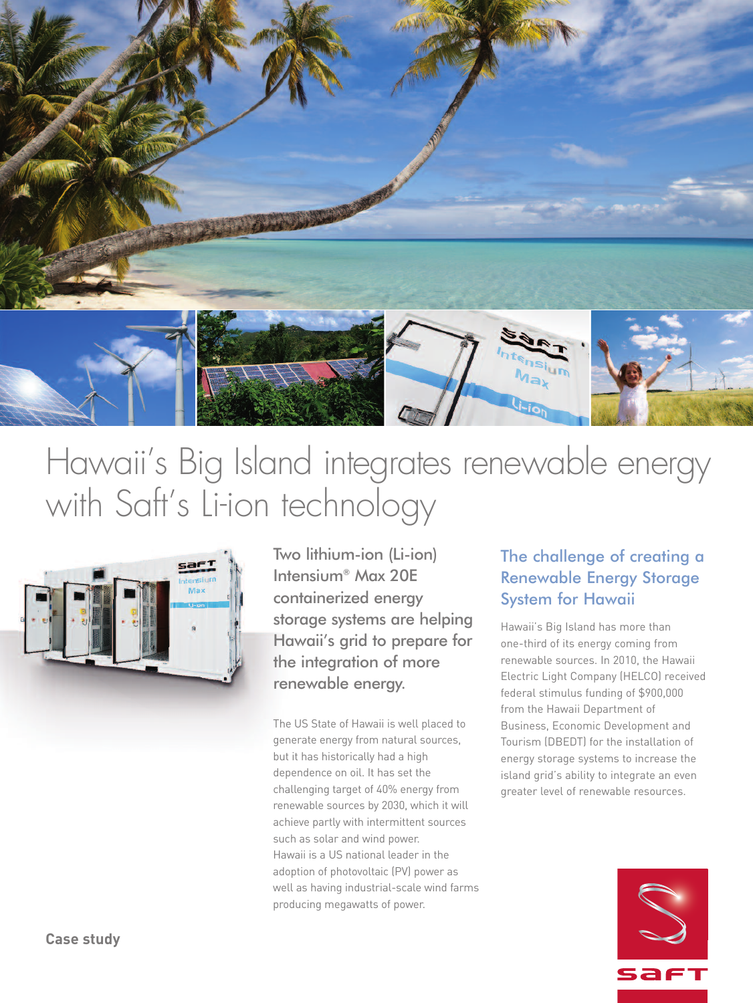

# Hawaii' s Big Island integrates renewable energy with Saft' s Li-ion technology



Two lithium-ion (Li-ion) Intensium® Max 20E containerized energy storage systems are helping Hawaii's grid to prepare for the integration of more renewable energy.

The US State of Hawaii is well placed to generate energy from natural sources, but it has historically had a high dependence on oil. It has set the challenging target of 40% energy from renewable sources by 2030, which it will achieve partly with intermittent sources such as solar and wind power. Hawaii is a US national leader in the adoption of photovoltaic (PV) power as well as having industrial-scale wind farms producing megawatts of power.

## The challenge of creating a Renewable Energy Storage System for Hawaii

Hawaii's Big Island has more than one-third of its energy coming from renewable sources. In 2010, the Hawaii Electric Light Company (HELCO) received federal stimulus funding of \$900,000 from the Hawaii Department of Business, Economic Development and Tourism (DBEDT) for the installation of energy storage systems to increase the island grid's ability to integrate an even greater level of renewable resources.